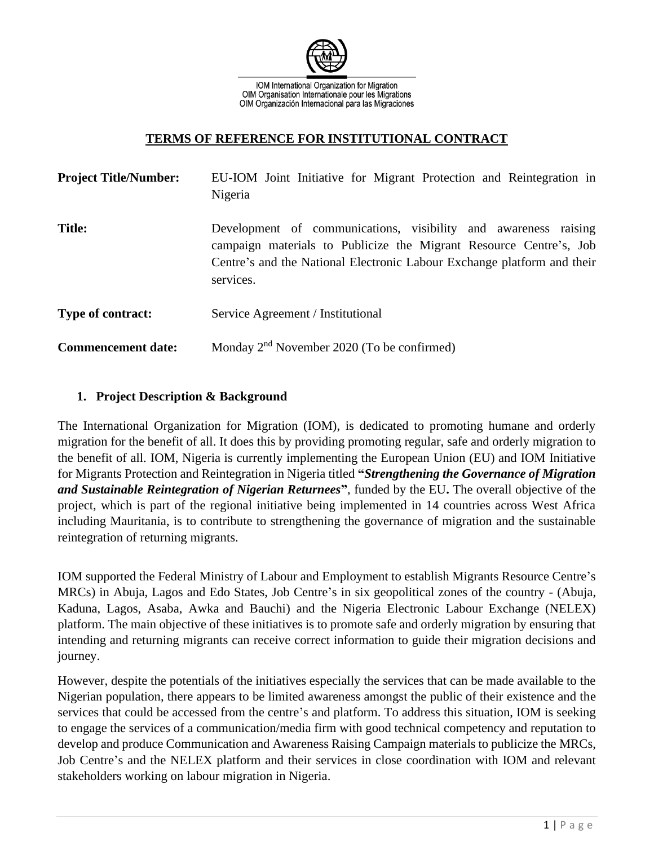

IOM International Organization for Migration OIM Organisation Internationale pour les Migrations OIM Organización Internacional para las Migraciones

#### **TERMS OF REFERENCE FOR INSTITUTIONAL CONTRACT**

| <b>Project Title/Number:</b> | EU-IOM Joint Initiative for Migrant Protection and Reintegration in<br>Nigeria                                                                                                                                                |
|------------------------------|-------------------------------------------------------------------------------------------------------------------------------------------------------------------------------------------------------------------------------|
| <b>Title:</b>                | Development of communications, visibility and awareness raising<br>campaign materials to Publicize the Migrant Resource Centre's, Job<br>Centre's and the National Electronic Labour Exchange platform and their<br>services. |
| <b>Type of contract:</b>     | Service Agreement / Institutional                                                                                                                                                                                             |
| <b>Commencement date:</b>    | Monday 2 <sup>nd</sup> November 2020 (To be confirmed)                                                                                                                                                                        |

#### **1. Project Description & Background**

The International Organization for Migration (IOM), is dedicated to promoting humane and orderly migration for the benefit of all. It does this by providing promoting regular, safe and orderly migration to the benefit of all. IOM, Nigeria is currently implementing the European Union (EU) and IOM Initiative for Migrants Protection and Reintegration in Nigeria titled **"***Strengthening the Governance of Migration and Sustainable Reintegration of Nigerian Returnees***"**, funded by the EU**.** The overall objective of the project, which is part of the regional initiative being implemented in 14 countries across West Africa including Mauritania, is to contribute to strengthening the governance of migration and the sustainable reintegration of returning migrants.

IOM supported the Federal Ministry of Labour and Employment to establish Migrants Resource Centre's MRCs) in Abuja, Lagos and Edo States, Job Centre's in six geopolitical zones of the country - (Abuja, Kaduna, Lagos, Asaba, Awka and Bauchi) and the Nigeria Electronic Labour Exchange (NELEX) platform. The main objective of these initiatives is to promote safe and orderly migration by ensuring that intending and returning migrants can receive correct information to guide their migration decisions and journey.

However, despite the potentials of the initiatives especially the services that can be made available to the Nigerian population, there appears to be limited awareness amongst the public of their existence and the services that could be accessed from the centre's and platform. To address this situation, IOM is seeking to engage the services of a communication/media firm with good technical competency and reputation to develop and produce Communication and Awareness Raising Campaign materials to publicize the MRCs, Job Centre's and the NELEX platform and their services in close coordination with IOM and relevant stakeholders working on labour migration in Nigeria.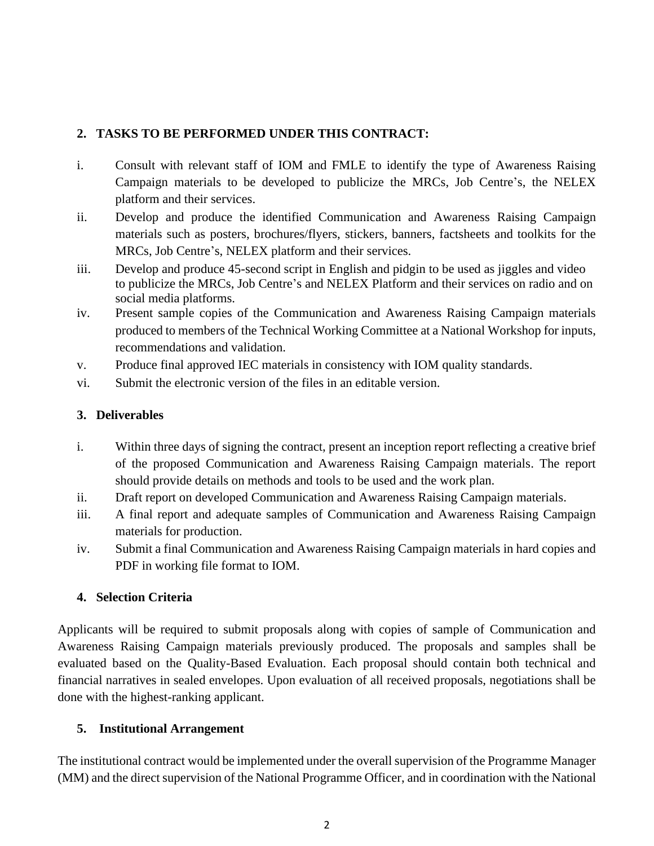## **2. TASKS TO BE PERFORMED UNDER THIS CONTRACT:**

- i. Consult with relevant staff of IOM and FMLE to identify the type of Awareness Raising Campaign materials to be developed to publicize the MRCs, Job Centre's, the NELEX platform and their services.
- ii. Develop and produce the identified Communication and Awareness Raising Campaign materials such as posters, brochures/flyers, stickers, banners, factsheets and toolkits for the MRCs, Job Centre's, NELEX platform and their services.
- iii. Develop and produce 45-second script in English and pidgin to be used as jiggles and video to publicize the MRCs, Job Centre's and NELEX Platform and their services on radio and on social media platforms.
- iv. Present sample copies of the Communication and Awareness Raising Campaign materials produced to members of the Technical Working Committee at a National Workshop for inputs, recommendations and validation.
- v. Produce final approved IEC materials in consistency with IOM quality standards.
- vi. Submit the electronic version of the files in an editable version.

### **3. Deliverables**

- i. Within three days of signing the contract, present an inception report reflecting a creative brief of the proposed Communication and Awareness Raising Campaign materials. The report should provide details on methods and tools to be used and the work plan.
- ii. Draft report on developed Communication and Awareness Raising Campaign materials.
- iii. A final report and adequate samples of Communication and Awareness Raising Campaign materials for production.
- iv. Submit a final Communication and Awareness Raising Campaign materials in hard copies and PDF in working file format to IOM.

# **4. Selection Criteria**

Applicants will be required to submit proposals along with copies of sample of Communication and Awareness Raising Campaign materials previously produced. The proposals and samples shall be evaluated based on the Quality-Based Evaluation. Each proposal should contain both technical and financial narratives in sealed envelopes. Upon evaluation of all received proposals, negotiations shall be done with the highest-ranking applicant.

# **5. Institutional Arrangement**

The institutional contract would be implemented under the overall supervision of the Programme Manager (MM) and the direct supervision of the National Programme Officer, and in coordination with the National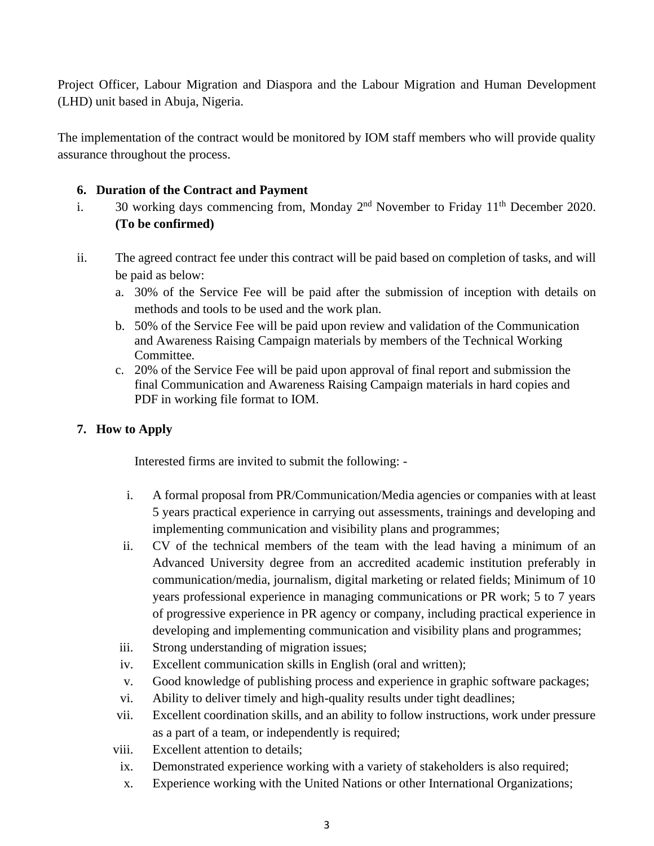Project Officer, Labour Migration and Diaspora and the Labour Migration and Human Development (LHD) unit based in Abuja, Nigeria.

The implementation of the contract would be monitored by IOM staff members who will provide quality assurance throughout the process.

#### **6. Duration of the Contract and Payment**

- i. 30 working days commencing from, Monday  $2<sup>nd</sup>$  November to Friday 11<sup>th</sup> December 2020. **(To be confirmed)**
- ii. The agreed contract fee under this contract will be paid based on completion of tasks, and will be paid as below:
	- a. 30% of the Service Fee will be paid after the submission of inception with details on methods and tools to be used and the work plan.
	- b. 50% of the Service Fee will be paid upon review and validation of the Communication and Awareness Raising Campaign materials by members of the Technical Working Committee.
	- c. 20% of the Service Fee will be paid upon approval of final report and submission the final Communication and Awareness Raising Campaign materials in hard copies and PDF in working file format to IOM.

## **7. How to Apply**

Interested firms are invited to submit the following: -

- i. A formal proposal from PR/Communication/Media agencies or companies with at least 5 years practical experience in carrying out assessments, trainings and developing and implementing communication and visibility plans and programmes;
- ii. CV of the technical members of the team with the lead having a minimum of an Advanced University degree from an accredited academic institution preferably in communication/media, journalism, digital marketing or related fields; Minimum of 10 years professional experience in managing communications or PR work; 5 to 7 years of progressive experience in PR agency or company, including practical experience in developing and implementing communication and visibility plans and programmes;
- iii. Strong understanding of migration issues;
- iv. Excellent communication skills in English (oral and written);
- v. Good knowledge of publishing process and experience in graphic software packages;
- vi. Ability to deliver timely and high-quality results under tight deadlines;
- vii. Excellent coordination skills, and an ability to follow instructions, work under pressure as a part of a team, or independently is required;
- viii. Excellent attention to details;
- ix. Demonstrated experience working with a variety of stakeholders is also required;
- x. Experience working with the United Nations or other International Organizations;